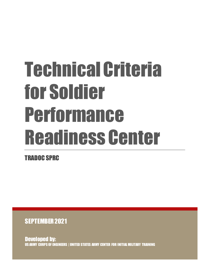# Technical Criteria for Soldier Performance Readiness Center

TRADOC SPRC

SEPTEMBER 2021

Developed by: US ARMY CORPS OF ENGINEERS | UNITED STATES ARMY CENTER FOR INITIAL MILITARY TRAINING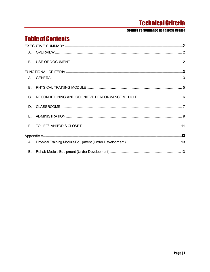#### **Soldier Performance Readiness Center**

# **Table of Contents**

| C. |  |
|----|--|
| D. |  |
| E. |  |
|    |  |
|    |  |
|    |  |
| В. |  |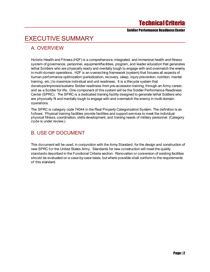Soldier Performance Readiness Center

# <span id="page-2-0"></span>EXECUTIVE SUMMARY

## <span id="page-2-1"></span>A. OVERVIEW

Holistic Health and Fitness (H2F) is a comprehensive, integrated, and immersive health and fitness system of governance, personnel, equipment/facilities, program, and leader education that generates lethal Soldiers who are physically ready and mentally tough to engage with and overmatch the enemy in multi-domain operations. H2F is an overarching framework (system) that focuses all aspects of human performance optimization (periodization, recovery, sleep, injury prevention, nutrition, mental training, etc.) to maximize individual and unit readiness. It is a lifecycle system that develops/improves/sustains Soldier readiness from pre-accession training, through an Army career, and as a Soldier for life. One component of this system will be the Soldier Performance Readiness Center (SPRC). The SPRC is a dedicated training facility designed to generate lethal Soldiers who are physically fit and mentally tough to engage with and overmatch the enemy in multi-domain operations.

The SPRC is category code 74044 in the Real Property Categorization System. The definition is as follows: Physical training facilities provide facilities and support services to meet the individual physical fitness, coordination, skills development, and training needs of military personnel. (Category code is under review.)

## <span id="page-2-2"></span>B. USE OF DOCUMENT

This document will be used, in conjunction with the Army Standard, for the design and construction of new SPRC for the United States Army. Standards for new construction will meet the quality standards described in the Functional Criteria section. Renovation or conversion of existing facilities should be evaluated on a case-by-case basis, but where possible shall conform to the requirements of this standard.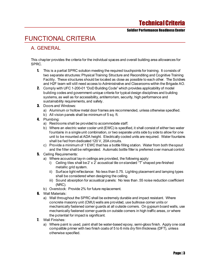Soldier Performance Readiness Center

# <span id="page-3-0"></span>FUNCTIONAL CRITERIA

## <span id="page-3-1"></span>A. GENERAL

This chapter provides the criteria for the individual spaces and overall building area allowances for SPRC.

- 1. This is a partial SPRC solution meeting the required touchpoints for training. It consists of two separate structures: Physical Training Structure and Reconditing and Cognitive Training Facility. These structures should be located as close as possible to each other. The Soldiers and H2F team will still need access to Administrative and Classrooms within the Brigade AO.
- 2. Comply with UFC 1-200-01 "DoD Building Code" which provides applicability of model building codes and government-unique criteria for typical design disciplines and building systems, as well as for accessibility, antiterrorism, security, high performance and sustainability requirements, and safety.
- 3. Doors and Windows:
	- a) Aluminum or hollow metal door frames are recommended, unless otherwise specified.
	- b) All vision panels shall be minimum of 5 sq. ft.
- 4. Plumbing:
	- a) Restrooms shall be provided to accommodate staff.
	- b) Where an electric water cooler unit (EWC) is specified, it shall consist of either two water fountains in a single unit combination, or two separate units side by side to allow for one unit to be mounted at ADA height. Electrically cooled units are required. Water fountains shall be fed from dedicated 120 V, 20A circuits.
	- c) Provide a minimum of 1 EWC that has a bottle filling station. Water from both the spout and the filler shall be refrigerated. Automatic bottle filler is preferred over manual control.
- **5.** Ceiling Requirements:
	- a) Where acoustical lay-in ceilings are provided, the following apply:
		- i) Ceiling tiles shall be 2' x 2' acoustical tile on standard "T" shaped pre-finished metallic grid system.
		- ii) Surface light reflectance: No less than 0.75. Lighting placement and lamping types shall be considered when designing the ceiling.
		- iii) Sound absorption for acoustical panels: No less than .55 noise reduction coefficient (NRC).
	- b) Overstock: Provide 2% for future replacement.
- **6.** Wall Materials:
	- a) Wall throughout the SPRC shall be extremely durable and impact resistant. Where concrete masonry unit (CMU) walls are provided, use bullnose corner units or mechanically fastened corner guards at all outside corners. On gypsum board walls, use mechanically fastened corner guards on outside corners in high traffic areas, or where the potential for impact is significant.
- 7. Wall Finishes:
	- a) Where paint is used, paint shall be water-based epoxy, semi-gloss finish. Apply one coat compatible primer with two finish coats of 5 to 6 mils dry film thickness (DFT), unless otherwise specified.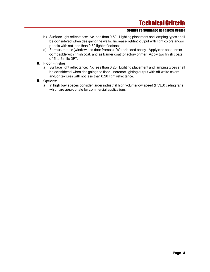- b) Surface light reflectance: No less than 0.50. Lighting placement and lamping types shall be considered when designing the walls. Increase lighting output with light colors and/or panels with not less than 0.50 light reflectance.
- c) Ferrous metals (window and door frames): Water based epoxy. Apply one coat primer compatible with finish coat, and as barrier coat to factory primer. Apply two finish coats of 5 to 6 mils DFT.
- **8.** Floor Finishes:
	- a) Surface light reflectance: No less than 0.20. Lighting placement and lamping types shall be considered when designing the floor. Increase lighting output with off-white colors and/or textures with not less than 0.20 light reflectance.
- **9.** Options:
	- a) In high bay spaces consider larger industrial high volume/low speed (HVLS) ceiling fans which are appropriate for commercial applications.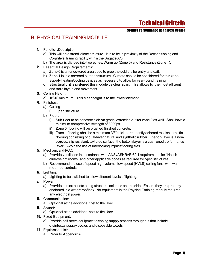#### Soldier Performance Readiness Center

## <span id="page-5-0"></span>B. PHYSICAL TRAINING MODULE

- 1. Function/Description:
	- a) This will be a stand-alone structure. It is to be in proximity of the Reconditioning and Cognitive Training facility within the Brigade AO.
	- b) The area is divided into two zones: Warm up (Zone 0) and Resistance (Zone 1).
- 2. Essential Design Requirements:
	- a) Zone 0 is an uncovered area used to prep the soldiers for entry and exit.
	- b) Zone 1 is in a covered outdoor structure. Climate should be considered for this zone. Supply heating/cooling devices as necessary to allow for year-round training.
	- c) Structurally, it is preferred this module be clear span. This allows for the most efficient and safe layout and movement.
- **3.** Ceiling Height:
	- a) 16'-0" minimum. This clear height is to the lowest element.
- 4. Finishes:
	- a) Ceiling:
		- i) Open structure.
	- b) Floor:
		- i) Sub floor to be concrete slab on grade, extended out for zone 0 as well. Shall have a minimum compressive strength of 3000psi.
		- ii) Zone 0 flooring will be brushed finished concrete.
		- iii) Zone 1 flooring shall be a minimum 3/8" thick permanently adhered resilient athletic flooring consisting of dual-layer natural and synthetic rubber. The top layer is a nonporous, slip resistant, textured surface; the bottom layer is a cushioned performance layer. Avoid the use of interlocking impact flooring tiles.
- 5. Mechanical (HVAC):
	- a) Provide ventilation in accordance with ANSI/ASHRAE 62.1 requirements for "Health club/weight rooms" and other applicable codes as required for open structures.
	- b) Recommend the use of speed high-volume, low-speed (HVLS) ceiling fans, with wallmounted controls.
- **6.** Lighting:
	- a) Lighting to be switched to allow different levels of lighting.
- 7. Power:
	- a) Provide duplex outlets along structural columns on one side. Ensure they are properly enclosed in a waterproof box. No equipment in the Physical Training module requires any electrical power.
- **8.** Communication:
	- a) Optional at the additional cost to the User.
- 9. Sound:
	- a) Optional at the additional cost to the User.
- 10. Fixed Equipment:
	- a) Provide self-serve equipment cleaning supply stations throughout that include disinfectant spray bottles and disposable towels.
- 11. Equipment List:
	- a) Refer to Appendix A.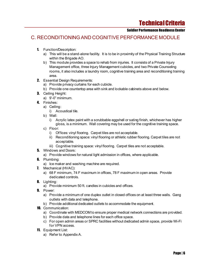#### Soldier Performance Readiness Center

### <span id="page-6-0"></span>C. RECONDITIONING AND COGNITIVE PERFORMANCE MODULE

- 1. Function/Description:
	- a) This will be a stand-alone facility. It is to be in proximity of the Physical Training Structure within the Brigade AO.
	- b) This module provides a space to rehab from injuries. It consists of a Private Injury Management office, three Injury Management cubicles, and two Private Counseling rooms, it also includes a laundry room, cognitive training area and reconditioning training area.
- 2. Essential Design Requirements:
	- a) Provide privacy curtains for each cubicle.
	- b) Provide one countertop area with sink and lockable cabinets above and below.
- **3.** Ceiling Height:
	- a) 9'-0" minimum.
- 4. Finishes:
	- a) Ceiling:
		- i) Acoustical tile.
	- b) Wall:
		- i) Acrylic latex paint with a scrubbable eggshell or sating finish, whichever has higher gloss, is a minimum. Wall covering may be used for the cognitive training space.
	- c) Floor:
		- i) Offices: vinyl flooring. Carpet tiles are not acceptable.
		- ii) Reconditioning space: vinyl flooring or athletic rubber flooring. Carpet tiles are not acceptable.
		- iii) Cognitive training space: vinyl flooring. Carpet tiles are not acceptable.
- 5. Windows and Doors:
	- a) Provide windows for natural light admission in offices, where applicable.
- **6.** Plumbing:
	- a) Ice maker and washing machine are required.
- 7. Mechanical (HVAC):
	- a) 68 F minimum, 74 F maximum in offices, 78 F maximum in open areas. Provide dedicated controls.
- 8. Lighting:
	- a) Provide minimum 50 ft. candles in cubicles and offices.
- 9. Power:
	- a) Provide a minimum of one duplex outlet in closed offices on at least three walls. Gang outlets with data and telephone.
	- b) Provide additional dedicated outlets to accommodate the equipment.
- **10.** Communication:
	- a) Coordinate with MEDCOM to ensure proper medical network connections are provided.
	- b) Provide data and telephone lines for each office space.
	- c) For open admin areas or SPRC facilities without dedicated admin space, provide Wi-Fi for VPN access.
- 11. Equipment List:
	- a) Refer to Appendix A.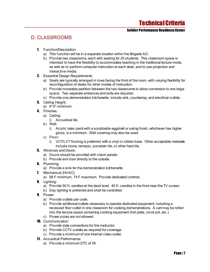#### Soldier Performance Readiness Center

## <span id="page-7-0"></span>D. CLASSROOMS

- 1. Function/Description:
	- a) This function will be in a separate location within the Brigade AO.
	- b) Provide two classrooms, each with seating for 25 students. This classroom space is intended to have the flexibility to accommodate teaching in the traditional lecture mode, as well as to perform computer instruction at each desk, and to use projection and interactive media.
- 2. Essential Design Requirements:
	- a) Seats are typically arranged in rows facing the front of the room, with varying flexibility for reconfiguration of desks for other modes of instruction.
	- b) Provide moveable partition between the two classrooms to allow conversion to one large space. Two separate entrances and exits are required.
	- c) Provide one demonstration kitchenette; include sink, countertop, and electrical outlets.
- 3. Ceiling Height:
	- a) 9'-0" minimum.
- 4. Finishes:
	- a) Ceiling:
		- i) Acoustical tile.
	- b) Wall:
		- i) Acrylic latex paint with a scrubbable eggshell or sating finish, whichever has higher gloss, is a minimum. Wall covering may also be used.
	- c) Floor:
		- i) VCT/LVT flooring is preferred with a vinyl or rubber base. Other acceptable materials include stone, terrazzo, porcelain tile, or other hard tile.
- **5.** Windows and Doors:
	- a) Doors should be provided with vision panels.
	- b) Provide exit door directly to the outside.
- **6.** Plumbing:
	- a) Provide a sink for the demonstration kitchenette.
- 7. Mechanical (HVAC):
	- a) 68 F minimum, 74 F maximum. Provide dedicated controls.
- 8. Lighting:
	- a) Provide 50 ft. candles at the desk level. 40 ft. candles in the front near the TV screen.
	- b) Day lighting is preferred and shall be controlled.
- 9. Power:
	- a) Provide outlets per code.
	- b) Provide additional outlets necessary to operate dedicated equipment, including a recessed floor outlet in one classroom for cooking demonstrations. A cart may be rolled into the lecture space containing cooking equipment (hot plate, crock pot, etc.).
	- c) Power poles are not allowed.
- **10.** Communication:
	- a) Provide data connections for the instructor.
	- b) Provide CCTV outlets as required for coverage.
	- c) Provide a minimum of one Internal video outlet.
- 11. Acoustical Performance:
	- a) Provide a minimum STC of 45.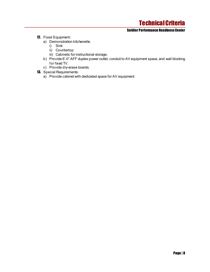- 12. Fixed Equipment:
	- a) Demonstration kitchenette.
		- i) Sink
		- ii) Countertop
		- iii) Cabinets for instructional storage.
	- b) Provide 6'-0" AFF duplex power outlet, conduit to AV equipment space, and wall blocking for fixed TV.
	- c) Provide dry-erase boards.
- **13.** Special Requirements:
	- a) Provide cabinet with dedicated space for AV equipment.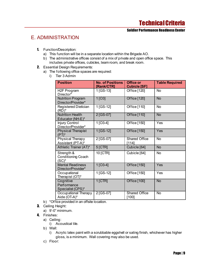#### Soldier Performance Readiness Center

## <span id="page-9-0"></span>E. ADMINISTRATION

- 1. Function/Description:
	- a) This function will be in a separate location within the Brigade AO.
	- b) The administrative offices consist of a mix of private and open office space. This includes private offices, cubicles, team room, and break room.
- 2. Essential Design Requirements:
	- a) The following office spaces are required:
		- i) Tier 3 Admin

| <b>Position</b>                                     | <b>No. of Positions</b><br>[Rank/CTR] | <b>Office or</b><br><b>Cubicle [SF]</b> | <b>Table Required</b> |
|-----------------------------------------------------|---------------------------------------|-----------------------------------------|-----------------------|
| H <sub>2</sub> F Program<br>Director <sup>*</sup>   | 1 [GS-13]                             | Office [120]                            | <b>No</b>             |
| <b>Nutrition Program</b><br>Director/Provider*      | 1[O3]                                 | Office [120]                            | <b>No</b>             |
| Registered Dietician<br>(RD)*                       | 1 [GS-12]                             | Office [110]                            | <b>No</b>             |
| <b>Nutrition Health</b><br>Educator (NH-E)*         | 2 [GS-07]                             | <b>Office [110]</b>                     | <b>No</b>             |
| <b>Injury Control</b><br>Director/Provider*         | 1 [O3-4]                              | Office [150]                            | Yes                   |
| <b>Physical Therapist</b><br>$(PT)^*$               | 1 [GS-12]                             | Office [150]                            | Yes                   |
| <b>Physical Therapy</b><br>Assistant (PT-A)*        | 2 [GS-07]                             | <b>Shared Office</b><br>[114]           | <b>No</b>             |
| Athletic Trainer (AT)*                              | 5 [CTR]                               | Cubicle [64]                            | <b>No</b>             |
| Strength &<br><b>Conditioning Coach</b><br>$(SC)^*$ | 10 [CTR]                              | Cubicle [64]                            | <b>No</b>             |
| <b>Mental Readiness</b><br>Director/Provider*       | $1$ [O3-4]                            | Office [150]                            | Yes                   |
| Occupational<br>Therapist (OT)*                     | 1 [GS-12]                             | Office [150]                            | Yes                   |
| Cognitive<br>Performance<br>Specialist (CPS)*       | $1$ [CTR]                             | Office [100]                            | <b>No</b>             |
| Occupational Therapy<br>Aide (OT-A)*                | 2 [GS-07]                             | <b>Shared Office</b><br>[100]           | <b>No</b>             |

- b) \*Office provided in an offsite location.
- 3. Ceiling Height:
	- a) 9'-0" minimum.
- 4. Finishes:
	- a) Ceiling:
		- i) Acoustical tile.
	- b) Wall:
		- i) Acrylic latex paint with a scrubbable eggshell or sating finish, whichever has higher gloss, is a minimum. Wall covering may also be used.
	- c) Floor: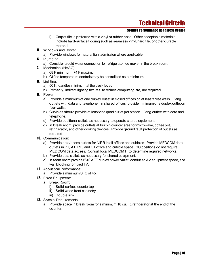- i) Carpet tile is preferred with a vinyl or rubber base. Other acceptable materials include hard-surface flooring such as seamless vinyl, hard tile, or other durable material.
- **5.** Windows and Doors:
	- a) Provide windows for natural light admission where applicable.
- **6.** Plumbing:
	- a) Consider a cold-water connection for refrigerator ice maker in the break room.
- 7. Mechanical (HVAC):
	- a) 68 F minimum, 74 F maximum.
	- b) Office temperature controls may be centralized as a minimum.
- 8. Lighting:
	- a) 50 ft. candles minimum at the desk level.
	- b) Primarily, indirect lighting fixtures, to reduce computer glare, are required.
- 9. Power:
	- a) Provide a minimum of one duplex outlet in closed offices on at least three walls. Gang outlets with data and telephone. In shared offices, provide minimum one duplex outlet on four walls.
	- b) Cubicles should provide at least one quad outlet per station. Gang outlets with data and telephone.
	- c) Provide additional outlets as necessary to operate shared equipment.
	- d) In break room, provide outlets at built-in counter area for microwave, coffee pot, refrigerator, and other cooking devices. Provide ground fault protection of outlets as required.
- 10. Communication:
	- a) Provide data/phone outlets for NIPR in all offices and cubicles. Provide MEDCOM data outlets in PT, AT, RD, and OT office and cubicle space. SC positions do not require MEDCOM data access. Consult local MEDCOM IT to determine required networks.
	- b) Provide data outlets as necessary for shared equipment.
	- c) In team room provide 6'-0" AFF duplex power outlet, conduit to AV equipment space, and wall blocking for fixed TV.
- 11. Acoustical Performance:
	- a) Provide a minimum STC of 45.
- 12. Fixed Equipment:
	- a) Break Room:
		- i) Solid-surface countertop.
		- ii) Solid wood front cabinetry.
		- iii) Double sink.
- **13.** Special Requirements:
	- a) Provide space in break room for a minimum 18 cu. Ft. refrigerator at the end of the counter.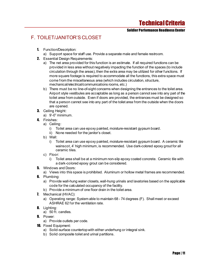Soldier Performance Readiness Center

## <span id="page-11-0"></span>F. TOILET/JANITOR'S CLOSET

- 1. Function/Description:
	- a) Support space for staff use. Provide a separate male and female restroom.
- 2. Essential Design Requirements:
	- a) The net area provided for this function is an estimate. If all required functions can be provided in less area without negatively impacting the function of the spaces (to include circulation through the areas), then the extra area may be utilized for other functions. If more square footage is required to accommodate all the functions, this extra space must come from the miscellaneous area (which includes circulation, structure, mechanical/electrical/communications rooms, etc.)
	- b) There must be no line-of-sight concerns when designing the entrances to the toilet area. Airport style vestibules are acceptable as long as a person cannot see into any part of the toilet area from outside. Even if doors are provided, the entrances must be designed so that a person cannot see into any part of the toilet area from the outside when the doors are opened.
- **3.** Ceiling Height:
	- a) 9'-0" minimum.
- 4. Finishes:
	- a) Ceiling:
		- i) Toilet area can use epoxy painted, moisture-resistant gypsum board.
		- ii) None needed for the janitor's closet.
	- b) Wall:
		- i) Toilet area can use epoxy painted, moisture-resistant gypsum board. A ceramic tile wainscot, 4' high minimum, is recommended. Use dark-colored epoxy grout for all ceramic tiles.
	- c) Floor:
		- i) Toilet area shall be at a minimum non-slip epoxy coated concrete. Ceramic tile with a dark-colored epoxy grout can be considered.
- 5. Windows and Doors:
	- a) Views into this space is prohibited. Aluminum or hollow metal frames are recommended.
- **6.** Plumbing:
	- a) Provide wall-hung water closets, wall-hung urinals and lavatories based on the applicable code for the calculated occupancy of the facility.
	- b) Provide a minimum of one floor drain in the toilet area.
- 7. Mechanical (HVAC):
	- a) Operating range: System able to maintain 68 74 degrees (F). Shall meet or exceed ASHRAE 62 for the ventilation rate.
- 8. Lighting:
	- a) 50 ft. candles.
- 9. Power:
	- a) Provide outlets per code.
- **10.** Fixed Equipment:
	- a) Solid-surface countertop with either underhung or integral sink.
	- b) Solid composite toilet and urinal partitions.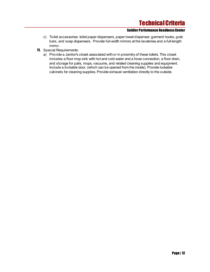- c) Toilet accessories: toilet paper dispensers, paper towel dispenser, garment hooks, grab bars, and soap dispensers. Provide full-width mirrors at the lavatories and a full-length mirror.
- **11.** Special Requirements:
	- a) Provide a Janitor's closet associated with or in proximity of these toilets. This closet includes a floor mop sink with hot and cold water and a hose connection, a floor drain, and storage for pails, mops, vacuums, and related cleaning supplies and equipment. Include a lockable door, (which can be opened from the inside). Provide lockable cabinets for cleaning supplies. Provide exhaust ventilation directly to the outside.